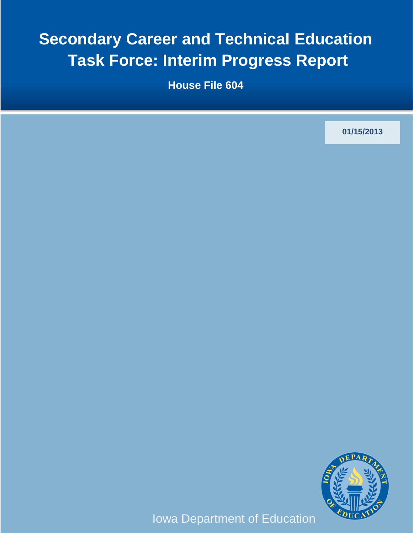# **Secondary Career and Technical Education Task Force: Interim Progress Report**

**House File 604**

**01/15/2013**



Iowa Department of Education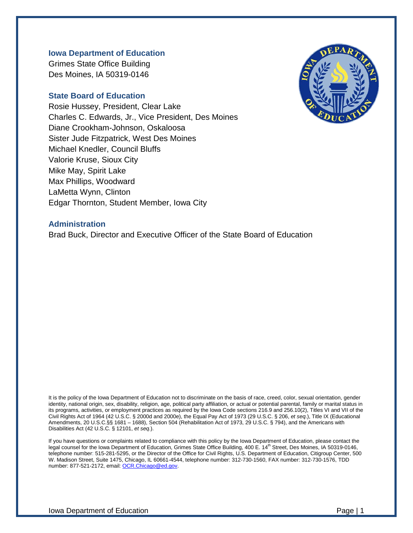#### **Iowa Department of Education**

Grimes State Office Building Des Moines, IA 50319-0146

#### **State Board of Education**

Rosie Hussey, President, Clear Lake Charles C. Edwards, Jr., Vice President, Des Moines Diane Crookham-Johnson, Oskaloosa Sister Jude Fitzpatrick, West Des Moines Michael Knedler, Council Bluffs Valorie Kruse, Sioux City Mike May, Spirit Lake Max Phillips, Woodward LaMetta Wynn, Clinton Edgar Thornton, Student Member, Iowa City



#### **Administration**

Brad Buck, Director and Executive Officer of the State Board of Education

It is the policy of the Iowa Department of Education not to discriminate on the basis of race, creed, color, sexual orientation, gender identity, national origin, sex, disability, religion, age, political party affiliation, or actual or potential parental, family or marital status in its programs, activities, or employment practices as required by the Iowa Code sections 216.9 and 256.10(2), Titles VI and VII of the Civil Rights Act of 1964 (42 U.S.C. § 2000d and 2000e), the Equal Pay Act of 1973 (29 U.S.C. § 206, *et seq*.), Title IX (Educational Amendments, 20 U.S.C.§§ 1681 – 1688), Section 504 (Rehabilitation Act of 1973, 29 U.S.C. § 794), and the Americans with Disabilities Act (42 U.S.C. § 12101, *et seq*.).

If you have questions or complaints related to compliance with this policy by the Iowa Department of Education, please contact the legal counsel for the Iowa Department of Education, Grimes State Office Building, 400 E. 14<sup>th</sup> Street, Des Moines, IA 50319-0146, telephone number: 515-281-5295, or the Director of the Office for Civil Rights, U.S. Department of Education, Citigroup Center, 500 W. Madison Street, Suite 1475, Chicago, IL 60661-4544, telephone number: 312-730-1560, FAX number: 312-730-1576, TDD number: 877-521-2172, email[: OCR.Chicago@ed.gov.](mailto:OCR.Chicago@ed.gov)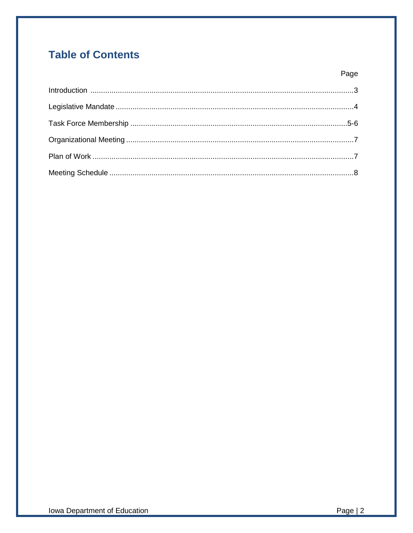# **Table of Contents**

Page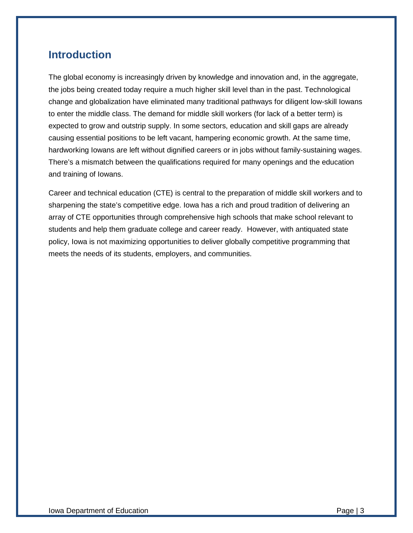### **Introduction**

The global economy is increasingly driven by knowledge and innovation and, in the aggregate, the jobs being created today require a much higher skill level than in the past. Technological change and globalization have eliminated many traditional pathways for diligent low-skill Iowans to enter the middle class. The demand for middle skill workers (for lack of a better term) is expected to grow and outstrip supply. In some sectors, education and skill gaps are already causing essential positions to be left vacant, hampering economic growth. At the same time, hardworking Iowans are left without dignified careers or in jobs without family-sustaining wages. There's a mismatch between the qualifications required for many openings and the education and training of Iowans.

Career and technical education (CTE) is central to the preparation of middle skill workers and to sharpening the state's competitive edge. Iowa has a rich and proud tradition of delivering an array of CTE opportunities through comprehensive high schools that make school relevant to students and help them graduate college and career ready. However, with antiquated state policy, Iowa is not maximizing opportunities to deliver globally competitive programming that meets the needs of its students, employers, and communities.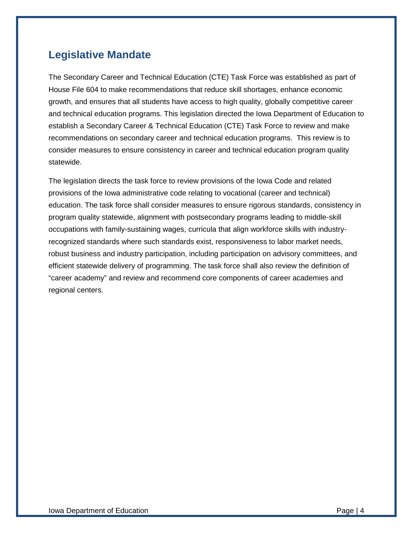### **Legislative Mandate**

The Secondary Career and Technical Education (CTE) Task Force was established as part of House File 604 to make recommendations that reduce skill shortages, enhance economic growth, and ensures that all students have access to high quality, globally competitive career and technical education programs. This legislation directed the Iowa Department of Education to establish a Secondary Career & Technical Education (CTE) Task Force to review and make recommendations on secondary career and technical education programs. This review is to consider measures to ensure consistency in career and technical education program quality statewide.

The legislation directs the task force to review provisions of the Iowa Code and related provisions of the Iowa administrative code relating to vocational (career and technical) education. The task force shall consider measures to ensure rigorous standards, consistency in program quality statewide, alignment with postsecondary programs leading to middle-skill occupations with family-sustaining wages, curricula that align workforce skills with industryrecognized standards where such standards exist, responsiveness to labor market needs, robust business and industry participation, including participation on advisory committees, and efficient statewide delivery of programming. The task force shall also review the definition of "career academy" and review and recommend core components of career academies and regional centers.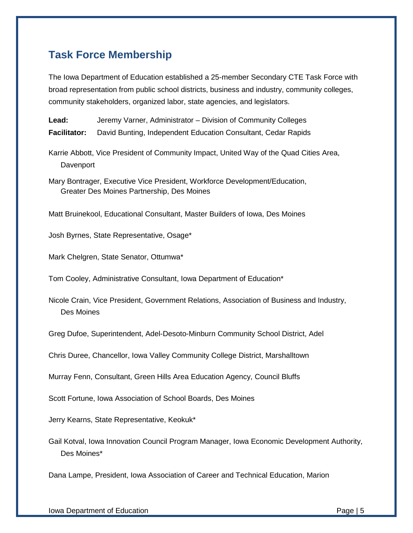### **Task Force Membership**

The Iowa Department of Education established a 25-member Secondary CTE Task Force with broad representation from public school districts, business and industry, community colleges, community stakeholders, organized labor, state agencies, and legislators.

**Lead:** Jeremy Varner, Administrator – Division of Community Colleges **Facilitator:** David Bunting, Independent Education Consultant, Cedar Rapids

Karrie Abbott, Vice President of Community Impact, United Way of the Quad Cities Area, Davenport

Mary Bontrager, Executive Vice President, Workforce Development/Education, Greater Des Moines Partnership, Des Moines

Matt Bruinekool, Educational Consultant, Master Builders of Iowa, Des Moines

Josh Byrnes, State Representative, Osage\*

Mark Chelgren, State Senator, Ottumwa\*

Tom Cooley, Administrative Consultant, Iowa Department of Education\*

Nicole Crain, Vice President, Government Relations, Association of Business and Industry, Des Moines

Greg Dufoe, Superintendent, Adel-Desoto-Minburn Community School District, Adel

Chris Duree, Chancellor, Iowa Valley Community College District, Marshalltown

Murray Fenn, Consultant, Green Hills Area Education Agency, Council Bluffs

Scott Fortune, Iowa Association of School Boards, Des Moines

Jerry Kearns, State Representative, Keokuk\*

Gail Kotval, Iowa Innovation Council Program Manager, Iowa Economic Development Authority, Des Moines\*

Dana Lampe, President, Iowa Association of Career and Technical Education, Marion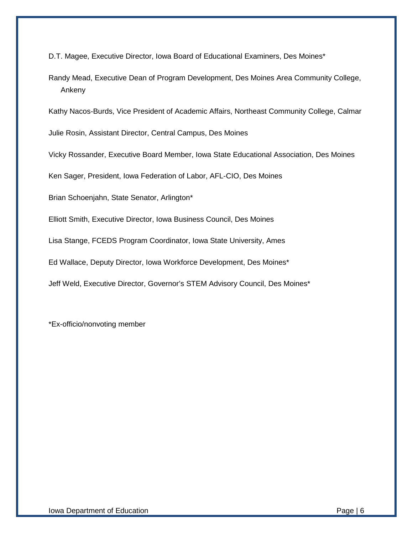D.T. Magee, Executive Director, Iowa Board of Educational Examiners, Des Moines\*

Randy Mead, Executive Dean of Program Development, Des Moines Area Community College, Ankeny

Kathy Nacos-Burds, Vice President of Academic Affairs, Northeast Community College, Calmar

Julie Rosin, Assistant Director, Central Campus, Des Moines

Vicky Rossander, Executive Board Member, Iowa State Educational Association, Des Moines

Ken Sager, President, Iowa Federation of Labor, AFL-CIO, Des Moines

Brian Schoenjahn, State Senator, Arlington\*

Elliott Smith, Executive Director, Iowa Business Council, Des Moines

Lisa Stange, FCEDS Program Coordinator, Iowa State University, Ames

Ed Wallace, Deputy Director, Iowa Workforce Development, Des Moines\*

Jeff Weld, Executive Director, Governor's STEM Advisory Council, Des Moines\*

\*Ex-officio/nonvoting member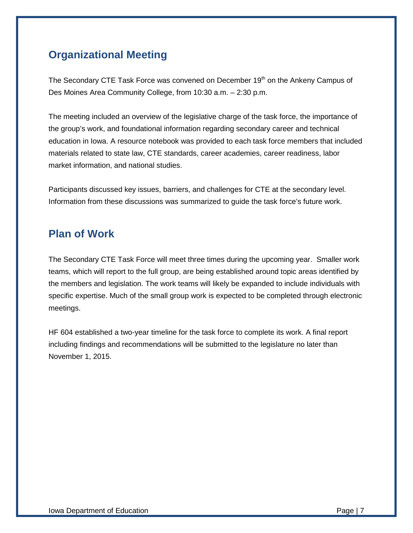### **Organizational Meeting**

The Secondary CTE Task Force was convened on December 19<sup>th</sup> on the Ankeny Campus of Des Moines Area Community College, from 10:30 a.m. – 2:30 p.m.

The meeting included an overview of the legislative charge of the task force, the importance of the group's work, and foundational information regarding secondary career and technical education in Iowa. A resource notebook was provided to each task force members that included materials related to state law, CTE standards, career academies, career readiness, labor market information, and national studies.

Participants discussed key issues, barriers, and challenges for CTE at the secondary level. Information from these discussions was summarized to guide the task force's future work.

#### **Plan of Work**

The Secondary CTE Task Force will meet three times during the upcoming year. Smaller work teams, which will report to the full group, are being established around topic areas identified by the members and legislation. The work teams will likely be expanded to include individuals with specific expertise. Much of the small group work is expected to be completed through electronic meetings.

HF 604 established a two-year timeline for the task force to complete its work. A final report including findings and recommendations will be submitted to the legislature no later than November 1, 2015.